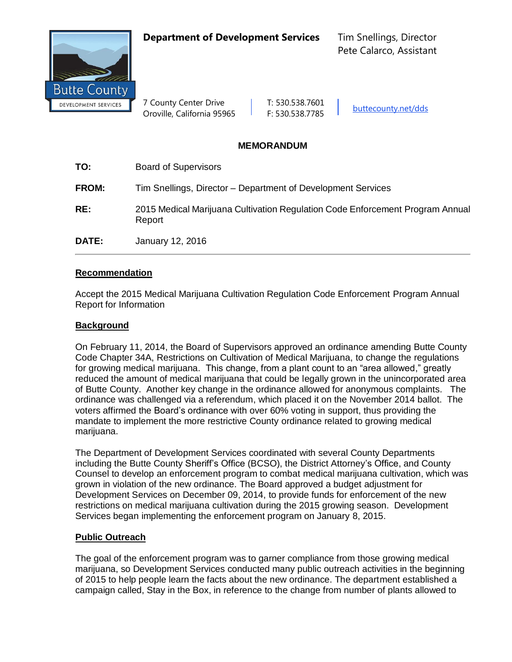**Department of Development Services** Tim Snellings, Director



7 County Center Drive | T: 530.538.7601 Oroville, California 95965 F: 530.538.7785 buttecounty.net/dds

# **MEMORANDUM**

| TO:          | <b>Board of Supervisors</b>                                                             |
|--------------|-----------------------------------------------------------------------------------------|
| <b>FROM:</b> | Tim Snellings, Director – Department of Development Services                            |
| RE:          | 2015 Medical Marijuana Cultivation Regulation Code Enforcement Program Annual<br>Report |
| DATE:        | January 12, 2016                                                                        |

### **Recommendation**

Accept the 2015 Medical Marijuana Cultivation Regulation Code Enforcement Program Annual Report for Information

# **Background**

On February 11, 2014, the Board of Supervisors approved an ordinance amending Butte County Code Chapter 34A, Restrictions on Cultivation of Medical Marijuana, to change the regulations for growing medical marijuana. This change, from a plant count to an "area allowed," greatly reduced the amount of medical marijuana that could be legally grown in the unincorporated area of Butte County. Another key change in the ordinance allowed for anonymous complaints. The ordinance was challenged via a referendum, which placed it on the November 2014 ballot. The voters affirmed the Board's ordinance with over 60% voting in support, thus providing the mandate to implement the more restrictive County ordinance related to growing medical marijuana.

The Department of Development Services coordinated with several County Departments including the Butte County Sheriff's Office (BCSO), the District Attorney's Office, and County Counsel to develop an enforcement program to combat medical marijuana cultivation, which was grown in violation of the new ordinance. The Board approved a budget adjustment for Development Services on December 09, 2014, to provide funds for enforcement of the new restrictions on medical marijuana cultivation during the 2015 growing season. Development Services began implementing the enforcement program on January 8, 2015.

# **Public Outreach**

The goal of the enforcement program was to garner compliance from those growing medical marijuana, so Development Services conducted many public outreach activities in the beginning of 2015 to help people learn the facts about the new ordinance. The department established a campaign called, Stay in the Box, in reference to the change from number of plants allowed to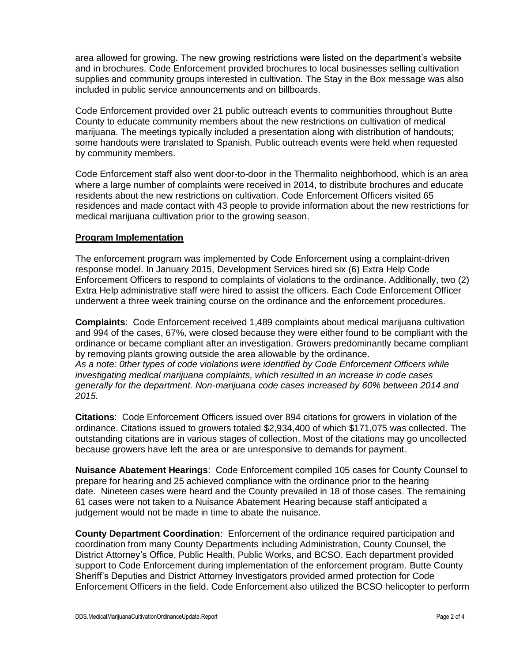area allowed for growing. The new growing restrictions were listed on the department's website and in brochures. Code Enforcement provided brochures to local businesses selling cultivation supplies and community groups interested in cultivation. The Stay in the Box message was also included in public service announcements and on billboards.

Code Enforcement provided over 21 public outreach events to communities throughout Butte County to educate community members about the new restrictions on cultivation of medical marijuana. The meetings typically included a presentation along with distribution of handouts; some handouts were translated to Spanish. Public outreach events were held when requested by community members.

Code Enforcement staff also went door-to-door in the Thermalito neighborhood, which is an area where a large number of complaints were received in 2014, to distribute brochures and educate residents about the new restrictions on cultivation. Code Enforcement Officers visited 65 residences and made contact with 43 people to provide information about the new restrictions for medical marijuana cultivation prior to the growing season.

### **Program Implementation**

The enforcement program was implemented by Code Enforcement using a complaint-driven response model. In January 2015, Development Services hired six (6) Extra Help Code Enforcement Officers to respond to complaints of violations to the ordinance. Additionally, two (2) Extra Help administrative staff were hired to assist the officers. Each Code Enforcement Officer underwent a three week training course on the ordinance and the enforcement procedures.

**Complaints**: Code Enforcement received 1,489 complaints about medical marijuana cultivation and 994 of the cases, 67%, were closed because they were either found to be compliant with the ordinance or became compliant after an investigation. Growers predominantly became compliant by removing plants growing outside the area allowable by the ordinance. *As a note: 0ther types of code violations were identified by Code Enforcement Officers while investigating medical marijuana complaints, which resulted in an increase in code cases generally for the department. Non-marijuana code cases increased by 60% between 2014 and 2015.*

**Citations**: Code Enforcement Officers issued over 894 citations for growers in violation of the ordinance. Citations issued to growers totaled \$2,934,400 of which \$171,075 was collected. The outstanding citations are in various stages of collection. Most of the citations may go uncollected because growers have left the area or are unresponsive to demands for payment.

**Nuisance Abatement Hearings**: Code Enforcement compiled 105 cases for County Counsel to prepare for hearing and 25 achieved compliance with the ordinance prior to the hearing date. Nineteen cases were heard and the County prevailed in 18 of those cases. The remaining 61 cases were not taken to a Nuisance Abatement Hearing because staff anticipated a judgement would not be made in time to abate the nuisance.

**County Department Coordination**: Enforcement of the ordinance required participation and coordination from many County Departments including Administration, County Counsel, the District Attorney's Office, Public Health, Public Works, and BCSO. Each department provided support to Code Enforcement during implementation of the enforcement program. Butte County Sheriff's Deputies and District Attorney Investigators provided armed protection for Code Enforcement Officers in the field. Code Enforcement also utilized the BCSO helicopter to perform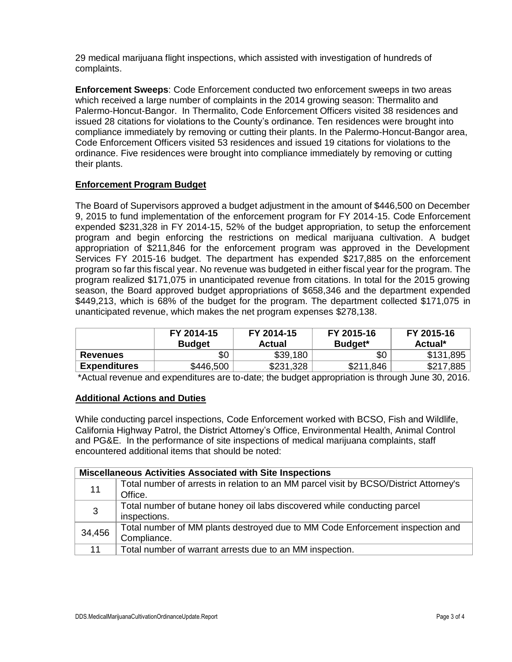29 medical marijuana flight inspections, which assisted with investigation of hundreds of complaints.

**Enforcement Sweeps**: Code Enforcement conducted two enforcement sweeps in two areas which received a large number of complaints in the 2014 growing season: Thermalito and Palermo-Honcut-Bangor. In Thermalito, Code Enforcement Officers visited 38 residences and issued 28 citations for violations to the County's ordinance. Ten residences were brought into compliance immediately by removing or cutting their plants. In the Palermo-Honcut-Bangor area, Code Enforcement Officers visited 53 residences and issued 19 citations for violations to the ordinance. Five residences were brought into compliance immediately by removing or cutting their plants.

# **Enforcement Program Budget**

The Board of Supervisors approved a budget adjustment in the amount of \$446,500 on December 9, 2015 to fund implementation of the enforcement program for FY 2014-15. Code Enforcement expended \$231,328 in FY 2014-15, 52% of the budget appropriation, to setup the enforcement program and begin enforcing the restrictions on medical marijuana cultivation. A budget appropriation of \$211,846 for the enforcement program was approved in the Development Services FY 2015-16 budget. The department has expended \$217,885 on the enforcement program so far this fiscal year. No revenue was budgeted in either fiscal year for the program. The program realized \$171,075 in unanticipated revenue from citations. In total for the 2015 growing season, the Board approved budget appropriations of \$658,346 and the department expended \$449,213, which is 68% of the budget for the program. The department collected \$171,075 in unanticipated revenue, which makes the net program expenses \$278,138.

|                     | FY 2014-15<br><b>Budget</b> | FY 2014-15<br>Actual | FY 2015-16<br>Budget* | FY 2015-16<br>Actual* |
|---------------------|-----------------------------|----------------------|-----------------------|-----------------------|
| <b>Revenues</b>     | \$0                         | \$39,180             | \$0                   | \$131,895             |
| <b>Expenditures</b> | \$446,500                   | \$231,328            | \$211,846             | \$217,885             |

\*Actual revenue and expenditures are to-date; the budget appropriation is through June 30, 2016.

#### **Additional Actions and Duties**

While conducting parcel inspections, Code Enforcement worked with BCSO, Fish and Wildlife, California Highway Patrol, the District Attorney's Office, Environmental Health, Animal Control and PG&E. In the performance of site inspections of medical marijuana complaints, staff encountered additional items that should be noted:

| <b>Miscellaneous Activities Associated with Site Inspections</b> |                                                                                       |  |
|------------------------------------------------------------------|---------------------------------------------------------------------------------------|--|
| 11                                                               | Total number of arrests in relation to an MM parcel visit by BCSO/District Attorney's |  |
|                                                                  | Office.                                                                               |  |
| 3                                                                | Total number of butane honey oil labs discovered while conducting parcel              |  |
|                                                                  | inspections.                                                                          |  |
| 34,456                                                           | Total number of MM plants destroyed due to MM Code Enforcement inspection and         |  |
|                                                                  | Compliance.                                                                           |  |
| 11                                                               | Total number of warrant arrests due to an MM inspection.                              |  |